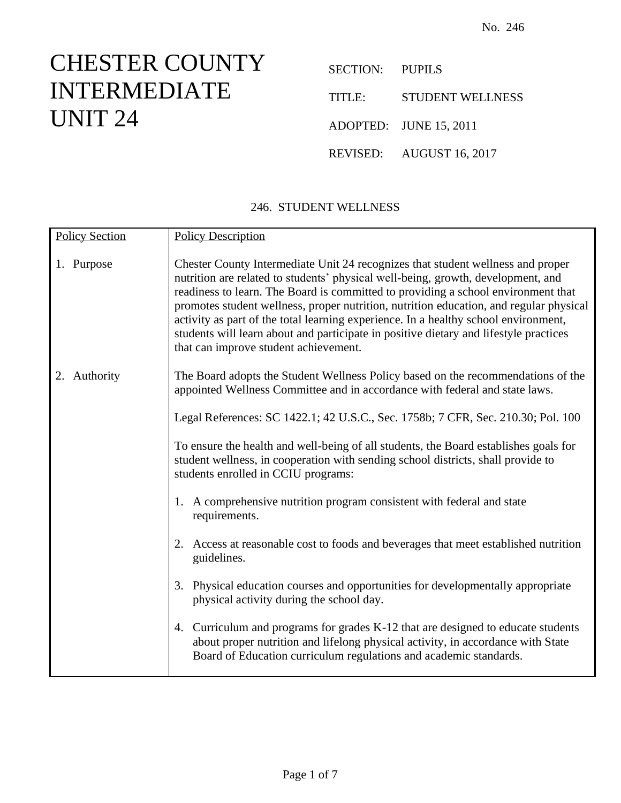## CHESTER COUNTY INTERMEDIATE UNIT 24

| SECTION: PUPILS |                          |
|-----------------|--------------------------|
| TITLE:          | <b>STUDENT WELLNESS</b>  |
|                 | ADOPTED: JUNE 15, 2011   |
|                 | REVISED: AUGUST 16, 2017 |

## 246. STUDENT WELLNESS

| <b>Policy Section</b> | <b>Policy Description</b>                                                                                                                                                                                                                                                                                                                                                                                                                                                                                                                                                   |
|-----------------------|-----------------------------------------------------------------------------------------------------------------------------------------------------------------------------------------------------------------------------------------------------------------------------------------------------------------------------------------------------------------------------------------------------------------------------------------------------------------------------------------------------------------------------------------------------------------------------|
| 1. Purpose            | Chester County Intermediate Unit 24 recognizes that student wellness and proper<br>nutrition are related to students' physical well-being, growth, development, and<br>readiness to learn. The Board is committed to providing a school environment that<br>promotes student wellness, proper nutrition, nutrition education, and regular physical<br>activity as part of the total learning experience. In a healthy school environment,<br>students will learn about and participate in positive dietary and lifestyle practices<br>that can improve student achievement. |
| 2. Authority          | The Board adopts the Student Wellness Policy based on the recommendations of the<br>appointed Wellness Committee and in accordance with federal and state laws.                                                                                                                                                                                                                                                                                                                                                                                                             |
|                       | Legal References: SC 1422.1; 42 U.S.C., Sec. 1758b; 7 CFR, Sec. 210.30; Pol. 100                                                                                                                                                                                                                                                                                                                                                                                                                                                                                            |
|                       | To ensure the health and well-being of all students, the Board establishes goals for<br>student wellness, in cooperation with sending school districts, shall provide to<br>students enrolled in CCIU programs:                                                                                                                                                                                                                                                                                                                                                             |
|                       | 1. A comprehensive nutrition program consistent with federal and state<br>requirements.                                                                                                                                                                                                                                                                                                                                                                                                                                                                                     |
|                       | 2. Access at reasonable cost to foods and beverages that meet established nutrition<br>guidelines.                                                                                                                                                                                                                                                                                                                                                                                                                                                                          |
|                       | 3. Physical education courses and opportunities for developmentally appropriate<br>physical activity during the school day.                                                                                                                                                                                                                                                                                                                                                                                                                                                 |
|                       | 4. Curriculum and programs for grades K-12 that are designed to educate students<br>about proper nutrition and lifelong physical activity, in accordance with State<br>Board of Education curriculum regulations and academic standards.                                                                                                                                                                                                                                                                                                                                    |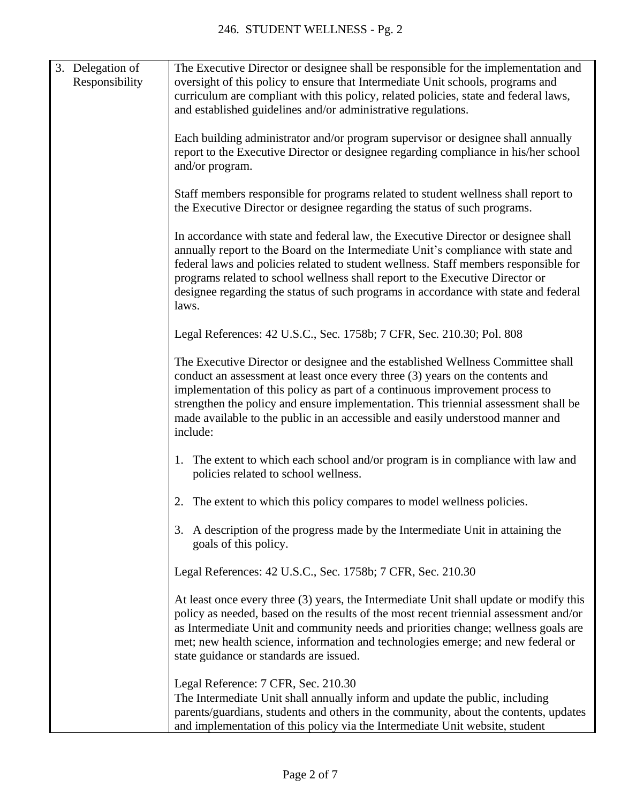|  | 3. Delegation of<br>Responsibility | The Executive Director or designee shall be responsible for the implementation and<br>oversight of this policy to ensure that Intermediate Unit schools, programs and<br>curriculum are compliant with this policy, related policies, state and federal laws,<br>and established guidelines and/or administrative regulations.                                                                                                                   |
|--|------------------------------------|--------------------------------------------------------------------------------------------------------------------------------------------------------------------------------------------------------------------------------------------------------------------------------------------------------------------------------------------------------------------------------------------------------------------------------------------------|
|  |                                    | Each building administrator and/or program supervisor or designee shall annually<br>report to the Executive Director or designee regarding compliance in his/her school<br>and/or program.                                                                                                                                                                                                                                                       |
|  |                                    | Staff members responsible for programs related to student wellness shall report to<br>the Executive Director or designee regarding the status of such programs.                                                                                                                                                                                                                                                                                  |
|  |                                    | In accordance with state and federal law, the Executive Director or designee shall<br>annually report to the Board on the Intermediate Unit's compliance with state and<br>federal laws and policies related to student wellness. Staff members responsible for<br>programs related to school wellness shall report to the Executive Director or<br>designee regarding the status of such programs in accordance with state and federal<br>laws. |
|  |                                    | Legal References: 42 U.S.C., Sec. 1758b; 7 CFR, Sec. 210.30; Pol. 808                                                                                                                                                                                                                                                                                                                                                                            |
|  |                                    | The Executive Director or designee and the established Wellness Committee shall<br>conduct an assessment at least once every three (3) years on the contents and<br>implementation of this policy as part of a continuous improvement process to<br>strengthen the policy and ensure implementation. This triennial assessment shall be<br>made available to the public in an accessible and easily understood manner and<br>include:            |
|  |                                    | 1. The extent to which each school and/or program is in compliance with law and<br>policies related to school wellness.                                                                                                                                                                                                                                                                                                                          |
|  |                                    | 2. The extent to which this policy compares to model wellness policies.                                                                                                                                                                                                                                                                                                                                                                          |
|  |                                    | 3. A description of the progress made by the Intermediate Unit in attaining the<br>goals of this policy.                                                                                                                                                                                                                                                                                                                                         |
|  |                                    | Legal References: 42 U.S.C., Sec. 1758b; 7 CFR, Sec. 210.30                                                                                                                                                                                                                                                                                                                                                                                      |
|  |                                    | At least once every three (3) years, the Intermediate Unit shall update or modify this<br>policy as needed, based on the results of the most recent triennial assessment and/or<br>as Intermediate Unit and community needs and priorities change; wellness goals are<br>met; new health science, information and technologies emerge; and new federal or<br>state guidance or standards are issued.                                             |
|  |                                    | Legal Reference: 7 CFR, Sec. 210.30<br>The Intermediate Unit shall annually inform and update the public, including<br>parents/guardians, students and others in the community, about the contents, updates<br>and implementation of this policy via the Intermediate Unit website, student                                                                                                                                                      |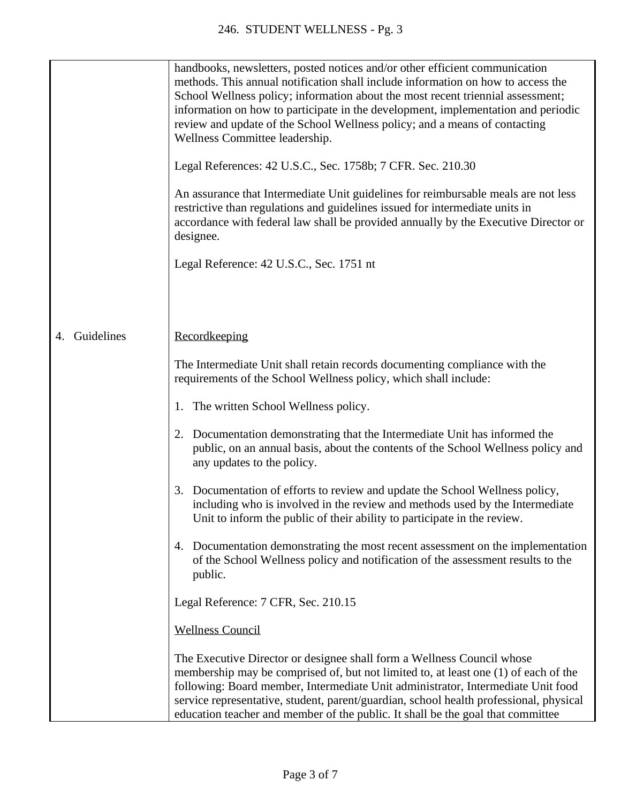|                  | handbooks, newsletters, posted notices and/or other efficient communication<br>methods. This annual notification shall include information on how to access the<br>School Wellness policy; information about the most recent triennial assessment;<br>information on how to participate in the development, implementation and periodic<br>review and update of the School Wellness policy; and a means of contacting<br>Wellness Committee leadership. |
|------------------|---------------------------------------------------------------------------------------------------------------------------------------------------------------------------------------------------------------------------------------------------------------------------------------------------------------------------------------------------------------------------------------------------------------------------------------------------------|
|                  | Legal References: 42 U.S.C., Sec. 1758b; 7 CFR. Sec. 210.30                                                                                                                                                                                                                                                                                                                                                                                             |
|                  | An assurance that Intermediate Unit guidelines for reimbursable meals are not less<br>restrictive than regulations and guidelines issued for intermediate units in<br>accordance with federal law shall be provided annually by the Executive Director or<br>designee.                                                                                                                                                                                  |
|                  | Legal Reference: 42 U.S.C., Sec. 1751 nt                                                                                                                                                                                                                                                                                                                                                                                                                |
|                  |                                                                                                                                                                                                                                                                                                                                                                                                                                                         |
| Guidelines<br>4. | Recordkeeping                                                                                                                                                                                                                                                                                                                                                                                                                                           |
|                  | The Intermediate Unit shall retain records documenting compliance with the<br>requirements of the School Wellness policy, which shall include:                                                                                                                                                                                                                                                                                                          |
|                  | 1. The written School Wellness policy.                                                                                                                                                                                                                                                                                                                                                                                                                  |
|                  | 2. Documentation demonstrating that the Intermediate Unit has informed the<br>public, on an annual basis, about the contents of the School Wellness policy and<br>any updates to the policy.                                                                                                                                                                                                                                                            |
|                  | 3. Documentation of efforts to review and update the School Wellness policy,<br>including who is involved in the review and methods used by the Intermediate<br>Unit to inform the public of their ability to participate in the review.                                                                                                                                                                                                                |
|                  | 4. Documentation demonstrating the most recent assessment on the implementation<br>of the School Wellness policy and notification of the assessment results to the<br>public.                                                                                                                                                                                                                                                                           |
|                  | Legal Reference: 7 CFR, Sec. 210.15                                                                                                                                                                                                                                                                                                                                                                                                                     |
|                  | <b>Wellness Council</b>                                                                                                                                                                                                                                                                                                                                                                                                                                 |
|                  | The Executive Director or designee shall form a Wellness Council whose<br>membership may be comprised of, but not limited to, at least one (1) of each of the<br>following: Board member, Intermediate Unit administrator, Intermediate Unit food<br>service representative, student, parent/guardian, school health professional, physical<br>education teacher and member of the public. It shall be the goal that committee                          |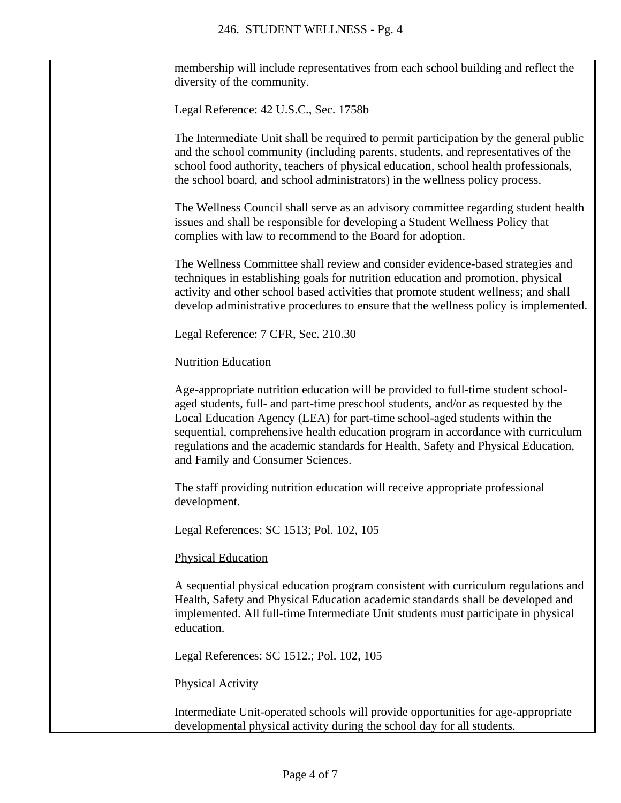| membership will include representatives from each school building and reflect the<br>diversity of the community.                                                                                                                                                                                                                                                                                                                                                   |
|--------------------------------------------------------------------------------------------------------------------------------------------------------------------------------------------------------------------------------------------------------------------------------------------------------------------------------------------------------------------------------------------------------------------------------------------------------------------|
| Legal Reference: 42 U.S.C., Sec. 1758b                                                                                                                                                                                                                                                                                                                                                                                                                             |
| The Intermediate Unit shall be required to permit participation by the general public<br>and the school community (including parents, students, and representatives of the<br>school food authority, teachers of physical education, school health professionals,<br>the school board, and school administrators) in the wellness policy process.                                                                                                                  |
| The Wellness Council shall serve as an advisory committee regarding student health<br>issues and shall be responsible for developing a Student Wellness Policy that<br>complies with law to recommend to the Board for adoption.                                                                                                                                                                                                                                   |
| The Wellness Committee shall review and consider evidence-based strategies and<br>techniques in establishing goals for nutrition education and promotion, physical<br>activity and other school based activities that promote student wellness; and shall<br>develop administrative procedures to ensure that the wellness policy is implemented.                                                                                                                  |
| Legal Reference: 7 CFR, Sec. 210.30                                                                                                                                                                                                                                                                                                                                                                                                                                |
| <b>Nutrition Education</b>                                                                                                                                                                                                                                                                                                                                                                                                                                         |
| Age-appropriate nutrition education will be provided to full-time student school-<br>aged students, full- and part-time preschool students, and/or as requested by the<br>Local Education Agency (LEA) for part-time school-aged students within the<br>sequential, comprehensive health education program in accordance with curriculum<br>regulations and the academic standards for Health, Safety and Physical Education,<br>and Family and Consumer Sciences. |
| The staff providing nutrition education will receive appropriate professional<br>development.                                                                                                                                                                                                                                                                                                                                                                      |
| Legal References: SC 1513; Pol. 102, 105                                                                                                                                                                                                                                                                                                                                                                                                                           |
| <b>Physical Education</b>                                                                                                                                                                                                                                                                                                                                                                                                                                          |
| A sequential physical education program consistent with curriculum regulations and<br>Health, Safety and Physical Education academic standards shall be developed and<br>implemented. All full-time Intermediate Unit students must participate in physical<br>education.                                                                                                                                                                                          |
| Legal References: SC 1512.; Pol. 102, 105                                                                                                                                                                                                                                                                                                                                                                                                                          |
| <b>Physical Activity</b>                                                                                                                                                                                                                                                                                                                                                                                                                                           |
| Intermediate Unit-operated schools will provide opportunities for age-appropriate<br>developmental physical activity during the school day for all students.                                                                                                                                                                                                                                                                                                       |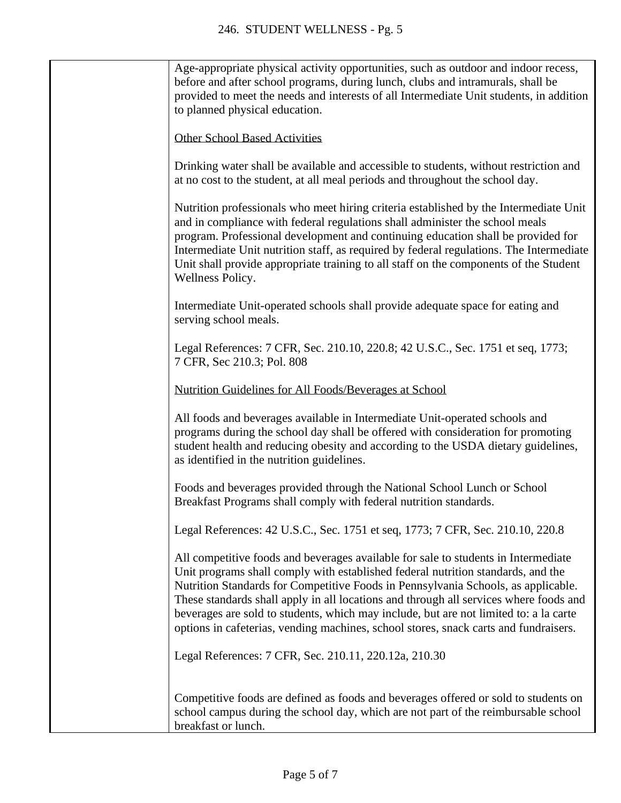| Age-appropriate physical activity opportunities, such as outdoor and indoor recess,<br>before and after school programs, during lunch, clubs and intramurals, shall be<br>provided to meet the needs and interests of all Intermediate Unit students, in addition<br>to planned physical education.                                                                                                                                                                                                                                   |
|---------------------------------------------------------------------------------------------------------------------------------------------------------------------------------------------------------------------------------------------------------------------------------------------------------------------------------------------------------------------------------------------------------------------------------------------------------------------------------------------------------------------------------------|
| <b>Other School Based Activities</b>                                                                                                                                                                                                                                                                                                                                                                                                                                                                                                  |
| Drinking water shall be available and accessible to students, without restriction and<br>at no cost to the student, at all meal periods and throughout the school day.                                                                                                                                                                                                                                                                                                                                                                |
| Nutrition professionals who meet hiring criteria established by the Intermediate Unit<br>and in compliance with federal regulations shall administer the school meals<br>program. Professional development and continuing education shall be provided for<br>Intermediate Unit nutrition staff, as required by federal regulations. The Intermediate<br>Unit shall provide appropriate training to all staff on the components of the Student<br>Wellness Policy.                                                                     |
| Intermediate Unit-operated schools shall provide adequate space for eating and<br>serving school meals.                                                                                                                                                                                                                                                                                                                                                                                                                               |
| Legal References: 7 CFR, Sec. 210.10, 220.8; 42 U.S.C., Sec. 1751 et seq, 1773;<br>7 CFR, Sec 210.3; Pol. 808                                                                                                                                                                                                                                                                                                                                                                                                                         |
| Nutrition Guidelines for All Foods/Beverages at School                                                                                                                                                                                                                                                                                                                                                                                                                                                                                |
| All foods and beverages available in Intermediate Unit-operated schools and<br>programs during the school day shall be offered with consideration for promoting<br>student health and reducing obesity and according to the USDA dietary guidelines,<br>as identified in the nutrition guidelines.                                                                                                                                                                                                                                    |
| Foods and beverages provided through the National School Lunch or School<br>Breakfast Programs shall comply with federal nutrition standards.                                                                                                                                                                                                                                                                                                                                                                                         |
| Legal References: 42 U.S.C., Sec. 1751 et seq, 1773; 7 CFR, Sec. 210.10, 220.8                                                                                                                                                                                                                                                                                                                                                                                                                                                        |
| All competitive foods and beverages available for sale to students in Intermediate<br>Unit programs shall comply with established federal nutrition standards, and the<br>Nutrition Standards for Competitive Foods in Pennsylvania Schools, as applicable.<br>These standards shall apply in all locations and through all services where foods and<br>beverages are sold to students, which may include, but are not limited to: a la carte<br>options in cafeterias, vending machines, school stores, snack carts and fundraisers. |
| Legal References: 7 CFR, Sec. 210.11, 220.12a, 210.30                                                                                                                                                                                                                                                                                                                                                                                                                                                                                 |
| Competitive foods are defined as foods and beverages offered or sold to students on<br>school campus during the school day, which are not part of the reimbursable school<br>breakfast or lunch.                                                                                                                                                                                                                                                                                                                                      |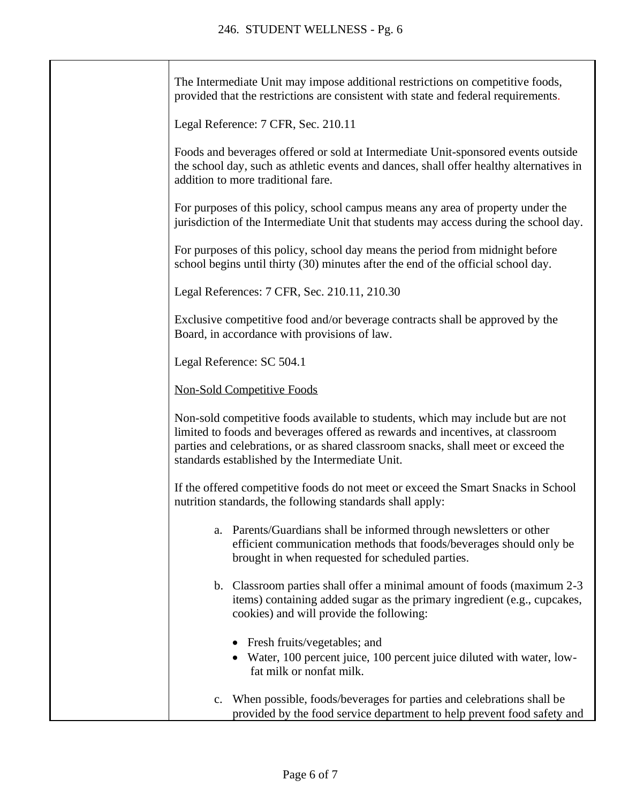| The Intermediate Unit may impose additional restrictions on competitive foods,<br>provided that the restrictions are consistent with state and federal requirements.                                                                                                                                      |
|-----------------------------------------------------------------------------------------------------------------------------------------------------------------------------------------------------------------------------------------------------------------------------------------------------------|
| Legal Reference: 7 CFR, Sec. 210.11                                                                                                                                                                                                                                                                       |
| Foods and beverages offered or sold at Intermediate Unit-sponsored events outside<br>the school day, such as athletic events and dances, shall offer healthy alternatives in<br>addition to more traditional fare.                                                                                        |
| For purposes of this policy, school campus means any area of property under the<br>jurisdiction of the Intermediate Unit that students may access during the school day.                                                                                                                                  |
| For purposes of this policy, school day means the period from midnight before<br>school begins until thirty (30) minutes after the end of the official school day.                                                                                                                                        |
| Legal References: 7 CFR, Sec. 210.11, 210.30                                                                                                                                                                                                                                                              |
| Exclusive competitive food and/or beverage contracts shall be approved by the<br>Board, in accordance with provisions of law.                                                                                                                                                                             |
| Legal Reference: SC 504.1                                                                                                                                                                                                                                                                                 |
| <b>Non-Sold Competitive Foods</b>                                                                                                                                                                                                                                                                         |
| Non-sold competitive foods available to students, which may include but are not<br>limited to foods and beverages offered as rewards and incentives, at classroom<br>parties and celebrations, or as shared classroom snacks, shall meet or exceed the<br>standards established by the Intermediate Unit. |
| If the offered competitive foods do not meet or exceed the Smart Snacks in School<br>nutrition standards, the following standards shall apply:                                                                                                                                                            |
| Parents/Guardians shall be informed through newsletters or other<br>a.<br>efficient communication methods that foods/beverages should only be<br>brought in when requested for scheduled parties.                                                                                                         |
| b. Classroom parties shall offer a minimal amount of foods (maximum 2-3)<br>items) containing added sugar as the primary ingredient (e.g., cupcakes,<br>cookies) and will provide the following:                                                                                                          |
| • Fresh fruits/vegetables; and<br>Water, 100 percent juice, 100 percent juice diluted with water, low-<br>fat milk or nonfat milk.                                                                                                                                                                        |
| When possible, foods/beverages for parties and celebrations shall be<br>$\mathbb{C}$ .<br>provided by the food service department to help prevent food safety and                                                                                                                                         |